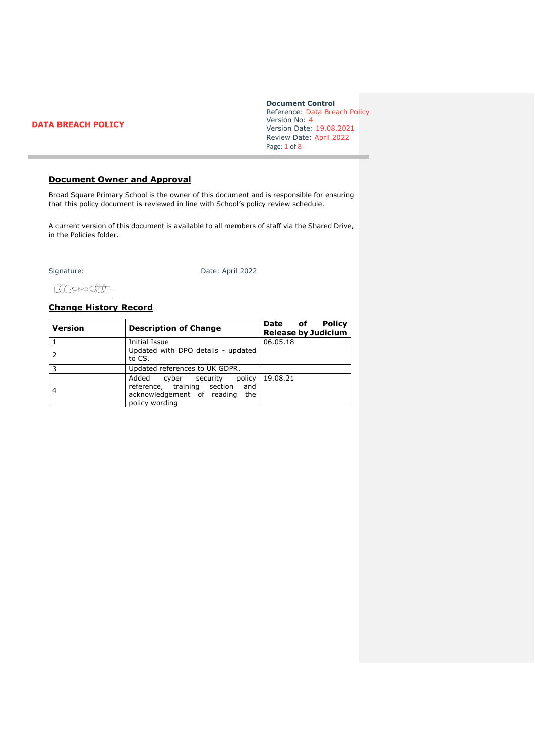**Document Control** Reference: Data Breach Policy Version No: 4 Version Date: 19.08.2021 Review Date: April 2022 Page: 1 of 8

# **Document Owner and Approval**

Broad Square Primary School is the owner of this document and is responsible for ensuring that this policy document is reviewed in line with School's policy review schedule.

A current version of this document is available to all members of staff via the Shared Drive, in the Policies folder.

Signature: Date: April 2022

acorbect

# **Change History Record**

| <b>Version</b> | <b>Description of Change</b>                                                                                                | <b>Policy</b><br>Date of<br><b>Release by Judicium</b> |
|----------------|-----------------------------------------------------------------------------------------------------------------------------|--------------------------------------------------------|
|                | Initial Issue                                                                                                               | 06.05.18                                               |
|                | Updated with DPO details - updated<br>to CS.                                                                                |                                                        |
| 3              | Updated references to UK GDPR.                                                                                              |                                                        |
| $\overline{a}$ | Added cyber<br>policy<br>security<br>reference, training section<br>and<br>acknowledgement of reading the<br>policy wording | 19.08.21                                               |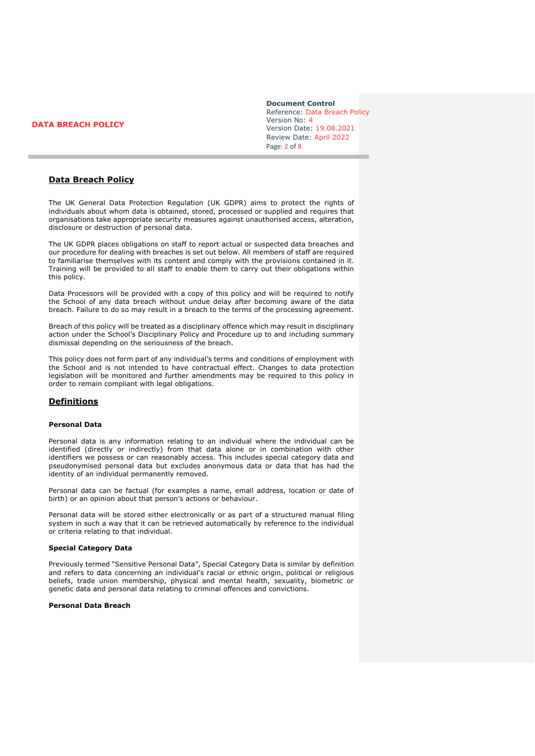**Document Control** Reference: Data Breach Policy Version No: 4 Version Date: 19.08.2021 Review Date: April 2022 Page: 2 of 8

# **Data Breach Policy**

The UK General Data Protection Regulation (UK GDPR) aims to protect the rights of individuals about whom data is obtained, stored, processed or supplied and requires that organisations take appropriate security measures against unauthorised access, alteration, disclosure or destruction of personal data.

The UK GDPR places obligations on staff to report actual or suspected data breaches and our procedure for dealing with breaches is set out below. All members of staff are required to familiarise themselves with its content and comply with the provisions contained in it. Training will be provided to all staff to enable them to carry out their obligations within this policy.

Data Processors will be provided with a copy of this policy and will be required to notify the School of any data breach without undue delay after becoming aware of the data breach. Failure to do so may result in a breach to the terms of the processing agreement.

Breach of this policy will be treated as a disciplinary offence which may result in disciplinary action under the School's Disciplinary Policy and Procedure up to and including summary dismissal depending on the seriousness of the breach.

This policy does not form part of any individual's terms and conditions of employment with the School and is not intended to have contractual effect. Changes to data protection legislation will be monitored and further amendments may be required to this policy in order to remain compliant with legal obligations.

# **Definitions**

#### **Personal Data**

Personal data is any information relating to an individual where the individual can be identified (directly or indirectly) from that data alone or in combination with other identifiers we possess or can reasonably access. This includes special category data and pseudonymised personal data but excludes anonymous data or data that has had the identity of an individual permanently removed.

Personal data can be factual (for examples a name, email address, location or date of birth) or an opinion about that person's actions or behaviour.

Personal data will be stored either electronically or as part of a structured manual filing system in such a way that it can be retrieved automatically by reference to the individual or criteria relating to that individual.

#### **Special Category Data**

Previously termed "Sensitive Personal Data", Special Category Data is similar by definition and refers to data concerning an individual's racial or ethnic origin, political or religious beliefs, trade union membership, physical and mental health, sexuality, biometric or genetic data and personal data relating to criminal offences and convictions.

#### **Personal Data Breach**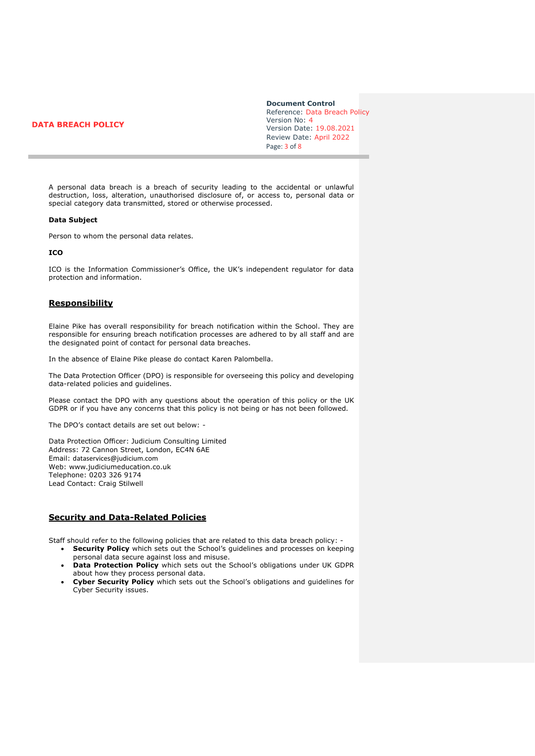**Document Control** Reference: Data Breach Policy Version No: 4 Version Date: 19.08.2021 Review Date: April 2022 Page: 3 of 8

A personal data breach is a breach of security leading to the accidental or unlawful destruction, loss, alteration, unauthorised disclosure of, or access to, personal data or special category data transmitted, stored or otherwise processed.

#### **Data Subject**

Person to whom the personal data relates.

**ICO**

ICO is the Information Commissioner's Office, the UK's independent regulator for data protection and information.

# **Responsibility**

Elaine Pike has overall responsibility for breach notification within the School. They are responsible for ensuring breach notification processes are adhered to by all staff and are the designated point of contact for personal data breaches.

In the absence of Elaine Pike please do contact Karen Palombella.

The Data Protection Officer (DPO) is responsible for overseeing this policy and developing data-related policies and guidelines.

Please contact the DPO with any questions about the operation of this policy or the UK GDPR or if you have any concerns that this policy is not being or has not been followed.

The DPO's contact details are set out below: -

Data Protection Officer: Judicium Consulting Limited Address: 72 Cannon Street, London, EC4N 6AE Email: [dataservices@judicium.com](mailto:dataservices@judicium.com) Web: www.judiciumeducation.co.uk Telephone: 0203 326 9174 Lead Contact: Craig Stilwell

# **Security and Data-Related Policies**

Staff should refer to the following policies that are related to this data breach policy: -

- **Security Policy** which sets out the School's guidelines and processes on keeping personal data secure against loss and misuse.
- **Data Protection Policy** which sets out the School's obligations under UK GDPR about how they process personal data.
- **Cyber Security Policy** which sets out the School's obligations and guidelines for Cyber Security issues.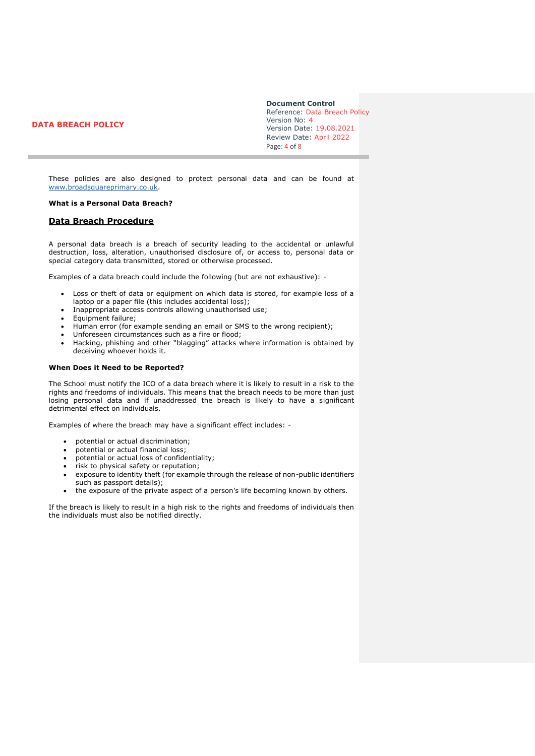**Document Control** Reference: Data Breach Policy Version No: 4 Version Date: 19.08.2021 Review Date: April 2022 Page: 4 of 8

These policies are also designed to protect personal data and can be found at [www.broadsquareprimary.co.uk.](http://www.broadsquareprimary.co.uk/)

**What is a Personal Data Breach?**

### **Data Breach Procedure**

A personal data breach is a breach of security leading to the accidental or unlawful destruction, loss, alteration, unauthorised disclosure of, or access to, personal data or special category data transmitted, stored or otherwise processed.

Examples of a data breach could include the following (but are not exhaustive): -

- Loss or theft of data or equipment on which data is stored, for example loss of a laptop or a paper file (this includes accidental loss);
- Inappropriate access controls allowing unauthorised use;
- Equipment failure;
- Human error (for example sending an email or SMS to the wrong recipient);
- Unforeseen circumstances such as a fire or flood;
- Hacking, phishing and other "blagging" attacks where information is obtained by deceiving whoever holds it.

#### **When Does it Need to be Reported?**

The School must notify the ICO of a data breach where it is likely to result in a risk to the rights and freedoms of individuals. This means that the breach needs to be more than just losing personal data and if unaddressed the breach is likely to have a significant detrimental effect on individuals.

Examples of where the breach may have a significant effect includes: -

- potential or actual discrimination;
- potential or actual financial loss;
- potential or actual loss of confidentiality;
- risk to physical safety or reputation;
- exposure to identity theft (for example through the release of non-public identifiers such as passport details);
- the exposure of the private aspect of a person's life becoming known by others.

If the breach is likely to result in a high risk to the rights and freedoms of individuals then the individuals must also be notified directly.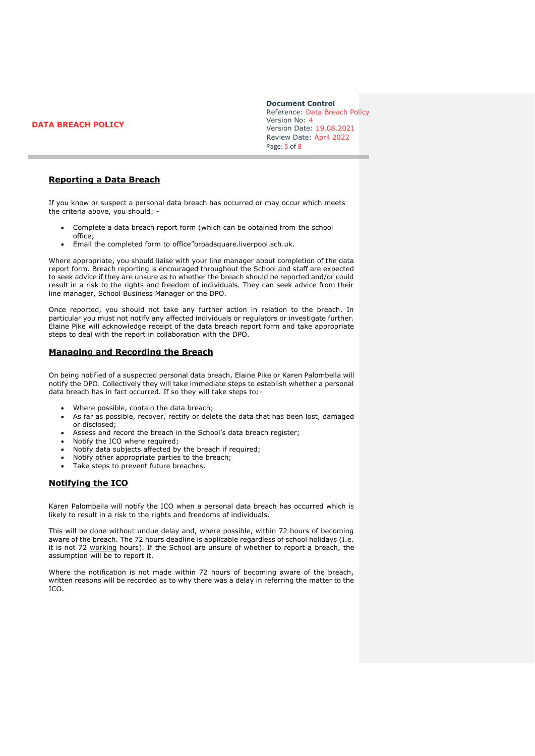**Document Control** Reference: Data Breach Policy Version No: 4 Version Date: 19.08.2021 Review Date: April 2022 Page: 5 of 8

# **Reporting a Data Breach**

If you know or suspect a personal data breach has occurred or may occur which meets the criteria above, you should: -

- Complete a data breach report form (which can be obtained from the school office;
- Email the completed form to office"broadsquare.liverpool.sch.uk.

Where appropriate, you should liaise with your line manager about completion of the data report form. Breach reporting is encouraged throughout the School and staff are expected to seek advice if they are unsure as to whether the breach should be reported and/or could result in a risk to the rights and freedom of individuals. They can seek advice from their line manager, School Business Manager or the DPO.

Once reported, you should not take any further action in relation to the breach. In particular you must not notify any affected individuals or regulators or investigate further. Elaine Pike will acknowledge receipt of the data breach report form and take appropriate steps to deal with the report in collaboration with the DPO.

### **Managing and Recording the Breach**

On being notified of a suspected personal data breach, Elaine Pike or Karen Palombella will notify the DPO. Collectively they will take immediate steps to establish whether a personal data breach has in fact occurred. If so they will take steps to:-

- Where possible, contain the data breach;
- As far as possible, recover, rectify or delete the data that has been lost, damaged or disclosed;
- Assess and record the breach in the School's data breach register;
- Notify the ICO where required;
- Notify data subjects affected by the breach if required;
- Notify other appropriate parties to the breach;
- Take steps to prevent future breaches.

# **Notifying the ICO**

Karen Palombella will notify the ICO when a personal data breach has occurred which is likely to result in a risk to the rights and freedoms of individuals.

This will be done without undue delay and, where possible, within 72 hours of becoming aware of the breach. The 72 hours deadline is applicable regardless of school holidays (I.e. it is not 72 working hours). If the School are unsure of whether to report a breach, the assumption will be to report it.

Where the notification is not made within 72 hours of becoming aware of the breach, written reasons will be recorded as to why there was a delay in referring the matter to the ICO.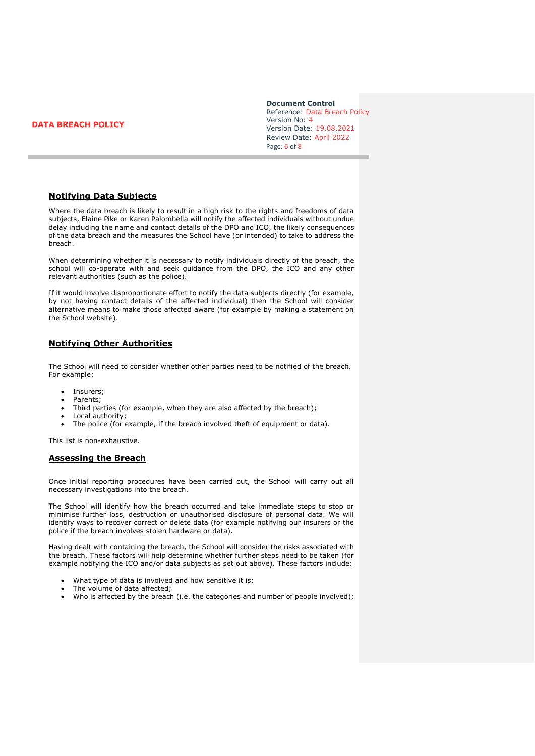**Document Control** Reference: Data Breach Policy Version No: 4 Version Date: 19.08.2021 Review Date: April 2022 Page: 6 of 8

### **Notifying Data Subjects**

Where the data breach is likely to result in a high risk to the rights and freedoms of data subjects, Elaine Pike or Karen Palombella will notify the affected individuals without undue delay including the name and contact details of the DPO and ICO, the likely consequences of the data breach and the measures the School have (or intended) to take to address the breach.

When determining whether it is necessary to notify individuals directly of the breach, the school will co-operate with and seek guidance from the DPO, the ICO and any other relevant authorities (such as the police).

If it would involve disproportionate effort to notify the data subjects directly (for example, by not having contact details of the affected individual) then the School will consider alternative means to make those affected aware (for example by making a statement on the School website).

### **Notifying Other Authorities**

The School will need to consider whether other parties need to be notified of the breach. For example:

- Insurers;
- Parents;
- Third parties (for example, when they are also affected by the breach);
- Local authority;
- The police (for example, if the breach involved theft of equipment or data).

This list is non-exhaustive.

#### **Assessing the Breach**

Once initial reporting procedures have been carried out, the School will carry out all necessary investigations into the breach.

The School will identify how the breach occurred and take immediate steps to stop or minimise further loss, destruction or unauthorised disclosure of personal data. We will identify ways to recover correct or delete data (for example notifying our insurers or the police if the breach involves stolen hardware or data).

Having dealt with containing the breach, the School will consider the risks associated with the breach. These factors will help determine whether further steps need to be taken (for example notifying the ICO and/or data subjects as set out above). These factors include:

- What type of data is involved and how sensitive it is;
- The volume of data affected;
- Who is affected by the breach (i.e. the categories and number of people involved);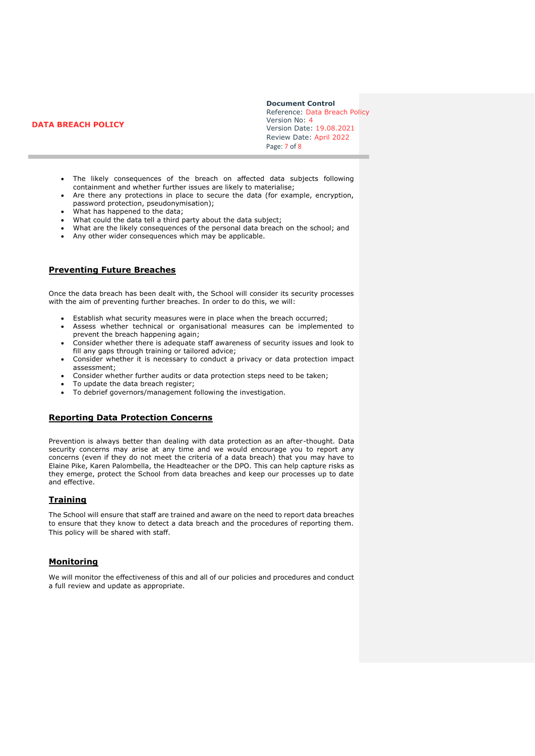**Document Control** Reference: Data Breach Policy Version No: 4 Version Date: 19.08.2021 Review Date: April 2022 Page: 7 of 8

- The likely consequences of the breach on affected data subjects following containment and whether further issues are likely to materialise;
- Are there any protections in place to secure the data (for example, encryption, password protection, pseudonymisation);
- What has happened to the data;
- What could the data tell a third party about the data subject:
- What are the likely consequences of the personal data breach on the school; and
- Any other wider consequences which may be applicable.

# **Preventing Future Breaches**

Once the data breach has been dealt with, the School will consider its security processes with the aim of preventing further breaches. In order to do this, we will:

- Establish what security measures were in place when the breach occurred;
- Assess whether technical or organisational measures can be implemented to prevent the breach happening again;
- Consider whether there is adequate staff awareness of security issues and look to fill any gaps through training or tailored advice;
- Consider whether it is necessary to conduct a privacy or data protection impact assessment;
- Consider whether further audits or data protection steps need to be taken;
- To update the data breach register;
- To debrief governors/management following the investigation.

# **Reporting Data Protection Concerns**

Prevention is always better than dealing with data protection as an after-thought. Data security concerns may arise at any time and we would encourage you to report any concerns (even if they do not meet the criteria of a data breach) that you may have to Elaine Pike, Karen Palombella, the Headteacher or the DPO. This can help capture risks as they emerge, protect the School from data breaches and keep our processes up to date and effective.

# **Training**

The School will ensure that staff are trained and aware on the need to report data breaches to ensure that they know to detect a data breach and the procedures of reporting them. This policy will be shared with staff.

# **Monitoring**

We will monitor the effectiveness of this and all of our policies and procedures and conduct a full review and update as appropriate.